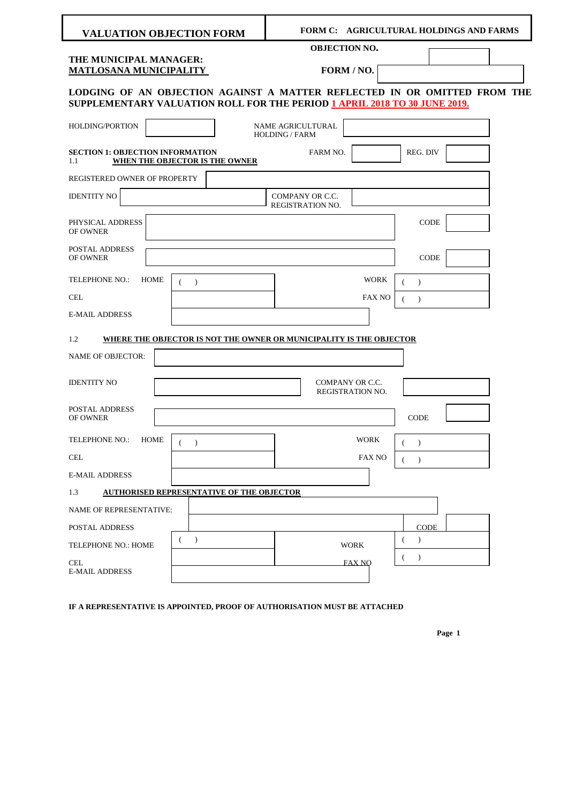| <b>VALUATION OBJECTION FORM</b>                                                                                                                               |                                                                     |                                            | FORM C: AGRICULTURAL HOLDINGS AND FARMS |                       |  |
|---------------------------------------------------------------------------------------------------------------------------------------------------------------|---------------------------------------------------------------------|--------------------------------------------|-----------------------------------------|-----------------------|--|
|                                                                                                                                                               |                                                                     | <b>OBJECTION NO.</b>                       |                                         |                       |  |
| THE MUNICIPAL MANAGER:<br>MATLOSANA MUNICIPALITY                                                                                                              |                                                                     |                                            | FORM / NO.                              |                       |  |
| LODGING OF AN OBJECTION AGAINST A MATTER REFLECTED IN OR OMITTED FROM THE<br><b>SUPPLEMENTARY VALUATION ROLL FOR THE PERIOD 1 APRIL 2018 TO 30 JUNE 2019.</b> |                                                                     |                                            |                                         |                       |  |
| HOLDING/PORTION                                                                                                                                               |                                                                     | NAME AGRICULTURAL<br><b>HOLDING / FARM</b> |                                         |                       |  |
| <b>SECTION 1: OBJECTION INFORMATION</b><br>1.1                                                                                                                | WHEN THE OBJECTOR IS THE OWNER                                      | FARM NO.                                   |                                         | REG. DIV              |  |
| REGISTERED OWNER OF PROPERTY                                                                                                                                  |                                                                     |                                            |                                         |                       |  |
| <b>IDENTITY NO</b>                                                                                                                                            |                                                                     | COMPANY OR C.C.<br><b>REGISTRATION NO.</b> |                                         |                       |  |
| PHYSICAL ADDRESS<br>OF OWNER                                                                                                                                  |                                                                     |                                            |                                         | CODE                  |  |
| POSTAL ADDRESS<br>OF OWNER                                                                                                                                    |                                                                     |                                            |                                         | <b>CODE</b>           |  |
| <b>TELEPHONE NO.:</b><br>HOME                                                                                                                                 | $\rightarrow$<br>(                                                  |                                            | <b>WORK</b>                             | $\rightarrow$         |  |
| <b>CEL</b>                                                                                                                                                    |                                                                     |                                            | <b>FAX NO</b>                           | $\left($<br>$\lambda$ |  |
| <b>E-MAIL ADDRESS</b>                                                                                                                                         |                                                                     |                                            |                                         |                       |  |
| 1.2                                                                                                                                                           | WHERE THE OBJECTOR IS NOT THE OWNER OR MUNICIPALITY IS THE OBJECTOR |                                            |                                         |                       |  |
| <b>NAME OF OBJECTOR:</b>                                                                                                                                      |                                                                     |                                            |                                         |                       |  |
| <b>IDENTITY NO</b>                                                                                                                                            |                                                                     |                                            | COMPANY OR C.C.<br>REGISTRATION NO.     |                       |  |
| POSTAL ADDRESS<br>OF OWNER                                                                                                                                    |                                                                     |                                            |                                         | <b>CODE</b>           |  |
| <b>TELEPHONE NO.:</b><br><b>HOME</b>                                                                                                                          | $\lambda$                                                           |                                            | <b>WORK</b>                             | $\lambda$<br>(        |  |
| <b>CEL</b>                                                                                                                                                    |                                                                     |                                            | <b>FAX NO</b>                           | €<br>$\rightarrow$    |  |
| <b>E-MAIL ADDRESS</b>                                                                                                                                         |                                                                     |                                            |                                         |                       |  |
| 1.3                                                                                                                                                           | <b>AUTHORISED REPRESENTATIVE OF THE OBJECTOR</b>                    |                                            |                                         |                       |  |
| <b>NAME OF REPRESENTATIVE:</b>                                                                                                                                |                                                                     |                                            |                                         |                       |  |
| <b>POSTAL ADDRESS</b>                                                                                                                                         |                                                                     |                                            |                                         | <b>CODE</b>           |  |
| TELEPHONE NO.: HOME                                                                                                                                           | $\mathcal{L}$<br>$\overline{ }$                                     |                                            | <b>WORK</b>                             | $\lambda$             |  |
| <b>CEL</b><br><b>E-MAIL ADDRESS</b>                                                                                                                           |                                                                     |                                            | <b>FAX NO</b>                           | $\mathcal{L}$<br>€    |  |

**IF A REPRESENTATIVE IS APPOINTED, PROOF OF AUTHORISATION MUST BE ATTACHED**

 **Page 1**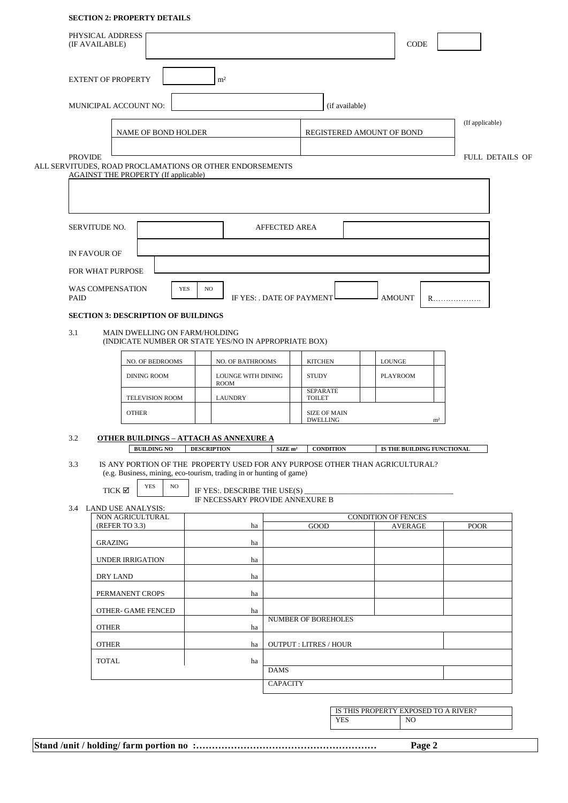## **SECTION 2: PROPERTY DETAILS**

| <b>EXTENT OF PROPERTY</b><br>m <sup>2</sup><br>MUNICIPAL ACCOUNT NO:<br>(if available)<br>(If applicable)<br><b>NAME OF BOND HOLDER</b><br>REGISTERED AMOUNT OF BOND<br><b>PROVIDE</b><br>FULL DETAILS OF<br>ALL SERVITUDES, ROAD PROCLAMATIONS OR OTHER ENDORSEMENTS<br><b>AGAINST THE PROPERTY (If applicable)</b><br>SERVITUDE NO.<br><b>AFFECTED AREA</b><br>IN FAVOUR OF<br>FOR WHAT PURPOSE<br>WAS COMPENSATION<br><b>YES</b><br>NO<br>PAID<br>IF YES: . DATE OF PAYMENT<br><b>AMOUNT</b><br>R.<br><b>SECTION 3: DESCRIPTION OF BUILDINGS</b><br>3.1<br>MAIN DWELLING ON FARM/HOLDING<br>(INDICATE NUMBER OR STATE YES/NO IN APPROPRIATE BOX)<br>NO. OF BEDROOMS<br>NO. OF BATHROOMS<br><b>KITCHEN</b><br><b>LOUNGE</b><br><b>STUDY</b><br><b>DINING ROOM</b><br>LOUNGE WITH DINING<br><b>PLAYROOM</b><br><b>ROOM</b><br><b>SEPARATE</b><br><b>LAUNDRY</b><br><b>TOILET</b><br>TELEVISION ROOM<br><b>OTHER</b><br><b>SIZE OF MAIN</b><br><b>DWELLING</b><br>m <sup>2</sup><br>3.2<br><b>OTHER BUILDINGS - ATTACH AS ANNEXURE A</b><br><b>BUILDING NO</b><br><b>DESCRIPTION</b><br>$SLZE$ m <sup>2</sup><br><b>CONDITION</b><br>IS THE BUILDING FUNCTIONAL<br>IS ANY PORTION OF THE PROPERTY USED FOR ANY PURPOSE OTHER THAN AGRICULTURAL?<br>3.3<br>(e.g. Business, mining, eco-tourism, trading in or hunting of game)<br><b>YES</b><br>NO<br>TICK $\boxtimes$<br>IF YES: DESCRIBE THE USE(S)<br>IF NECESSARY PROVIDE ANNEXURE B<br>3.4 LAND USE ANALYSIS:<br>NON AGRICULTURAL<br><b>CONDITION OF FENCES</b><br>(REFER TO 3.3)<br>GOOD<br>AVERAGE<br><b>POOR</b><br>ha<br><b>GRAZING</b><br>ha<br>UNDER IRRIGATION<br>ha<br>DRY LAND<br>ha<br>PERMANENT CROPS<br>ha<br>OTHER- GAME FENCED<br>ha<br>NUMBER OF BOREHOLES<br><b>OTHER</b><br>ha<br><b>OUTPUT: LITRES / HOUR</b><br><b>OTHER</b><br>ha<br><b>TOTAL</b><br>ha<br><b>DAMS</b> | PHYSICAL ADDRESS<br>(IF AVAILABLE) |  |  |  |  |  |                 |  |  |  | CODE |  |  |  |  |
|------------------------------------------------------------------------------------------------------------------------------------------------------------------------------------------------------------------------------------------------------------------------------------------------------------------------------------------------------------------------------------------------------------------------------------------------------------------------------------------------------------------------------------------------------------------------------------------------------------------------------------------------------------------------------------------------------------------------------------------------------------------------------------------------------------------------------------------------------------------------------------------------------------------------------------------------------------------------------------------------------------------------------------------------------------------------------------------------------------------------------------------------------------------------------------------------------------------------------------------------------------------------------------------------------------------------------------------------------------------------------------------------------------------------------------------------------------------------------------------------------------------------------------------------------------------------------------------------------------------------------------------------------------------------------------------------------------------------------------------------------------------------------------------------------------------------------------------------|------------------------------------|--|--|--|--|--|-----------------|--|--|--|------|--|--|--|--|
|                                                                                                                                                                                                                                                                                                                                                                                                                                                                                                                                                                                                                                                                                                                                                                                                                                                                                                                                                                                                                                                                                                                                                                                                                                                                                                                                                                                                                                                                                                                                                                                                                                                                                                                                                                                                                                                |                                    |  |  |  |  |  |                 |  |  |  |      |  |  |  |  |
|                                                                                                                                                                                                                                                                                                                                                                                                                                                                                                                                                                                                                                                                                                                                                                                                                                                                                                                                                                                                                                                                                                                                                                                                                                                                                                                                                                                                                                                                                                                                                                                                                                                                                                                                                                                                                                                |                                    |  |  |  |  |  |                 |  |  |  |      |  |  |  |  |
|                                                                                                                                                                                                                                                                                                                                                                                                                                                                                                                                                                                                                                                                                                                                                                                                                                                                                                                                                                                                                                                                                                                                                                                                                                                                                                                                                                                                                                                                                                                                                                                                                                                                                                                                                                                                                                                |                                    |  |  |  |  |  |                 |  |  |  |      |  |  |  |  |
|                                                                                                                                                                                                                                                                                                                                                                                                                                                                                                                                                                                                                                                                                                                                                                                                                                                                                                                                                                                                                                                                                                                                                                                                                                                                                                                                                                                                                                                                                                                                                                                                                                                                                                                                                                                                                                                |                                    |  |  |  |  |  |                 |  |  |  |      |  |  |  |  |
|                                                                                                                                                                                                                                                                                                                                                                                                                                                                                                                                                                                                                                                                                                                                                                                                                                                                                                                                                                                                                                                                                                                                                                                                                                                                                                                                                                                                                                                                                                                                                                                                                                                                                                                                                                                                                                                |                                    |  |  |  |  |  |                 |  |  |  |      |  |  |  |  |
|                                                                                                                                                                                                                                                                                                                                                                                                                                                                                                                                                                                                                                                                                                                                                                                                                                                                                                                                                                                                                                                                                                                                                                                                                                                                                                                                                                                                                                                                                                                                                                                                                                                                                                                                                                                                                                                |                                    |  |  |  |  |  |                 |  |  |  |      |  |  |  |  |
|                                                                                                                                                                                                                                                                                                                                                                                                                                                                                                                                                                                                                                                                                                                                                                                                                                                                                                                                                                                                                                                                                                                                                                                                                                                                                                                                                                                                                                                                                                                                                                                                                                                                                                                                                                                                                                                |                                    |  |  |  |  |  |                 |  |  |  |      |  |  |  |  |
|                                                                                                                                                                                                                                                                                                                                                                                                                                                                                                                                                                                                                                                                                                                                                                                                                                                                                                                                                                                                                                                                                                                                                                                                                                                                                                                                                                                                                                                                                                                                                                                                                                                                                                                                                                                                                                                |                                    |  |  |  |  |  |                 |  |  |  |      |  |  |  |  |
|                                                                                                                                                                                                                                                                                                                                                                                                                                                                                                                                                                                                                                                                                                                                                                                                                                                                                                                                                                                                                                                                                                                                                                                                                                                                                                                                                                                                                                                                                                                                                                                                                                                                                                                                                                                                                                                |                                    |  |  |  |  |  |                 |  |  |  |      |  |  |  |  |
|                                                                                                                                                                                                                                                                                                                                                                                                                                                                                                                                                                                                                                                                                                                                                                                                                                                                                                                                                                                                                                                                                                                                                                                                                                                                                                                                                                                                                                                                                                                                                                                                                                                                                                                                                                                                                                                |                                    |  |  |  |  |  |                 |  |  |  |      |  |  |  |  |
|                                                                                                                                                                                                                                                                                                                                                                                                                                                                                                                                                                                                                                                                                                                                                                                                                                                                                                                                                                                                                                                                                                                                                                                                                                                                                                                                                                                                                                                                                                                                                                                                                                                                                                                                                                                                                                                |                                    |  |  |  |  |  |                 |  |  |  |      |  |  |  |  |
|                                                                                                                                                                                                                                                                                                                                                                                                                                                                                                                                                                                                                                                                                                                                                                                                                                                                                                                                                                                                                                                                                                                                                                                                                                                                                                                                                                                                                                                                                                                                                                                                                                                                                                                                                                                                                                                |                                    |  |  |  |  |  |                 |  |  |  |      |  |  |  |  |
|                                                                                                                                                                                                                                                                                                                                                                                                                                                                                                                                                                                                                                                                                                                                                                                                                                                                                                                                                                                                                                                                                                                                                                                                                                                                                                                                                                                                                                                                                                                                                                                                                                                                                                                                                                                                                                                |                                    |  |  |  |  |  |                 |  |  |  |      |  |  |  |  |
|                                                                                                                                                                                                                                                                                                                                                                                                                                                                                                                                                                                                                                                                                                                                                                                                                                                                                                                                                                                                                                                                                                                                                                                                                                                                                                                                                                                                                                                                                                                                                                                                                                                                                                                                                                                                                                                |                                    |  |  |  |  |  |                 |  |  |  |      |  |  |  |  |
|                                                                                                                                                                                                                                                                                                                                                                                                                                                                                                                                                                                                                                                                                                                                                                                                                                                                                                                                                                                                                                                                                                                                                                                                                                                                                                                                                                                                                                                                                                                                                                                                                                                                                                                                                                                                                                                |                                    |  |  |  |  |  |                 |  |  |  |      |  |  |  |  |
|                                                                                                                                                                                                                                                                                                                                                                                                                                                                                                                                                                                                                                                                                                                                                                                                                                                                                                                                                                                                                                                                                                                                                                                                                                                                                                                                                                                                                                                                                                                                                                                                                                                                                                                                                                                                                                                |                                    |  |  |  |  |  |                 |  |  |  |      |  |  |  |  |
|                                                                                                                                                                                                                                                                                                                                                                                                                                                                                                                                                                                                                                                                                                                                                                                                                                                                                                                                                                                                                                                                                                                                                                                                                                                                                                                                                                                                                                                                                                                                                                                                                                                                                                                                                                                                                                                |                                    |  |  |  |  |  |                 |  |  |  |      |  |  |  |  |
|                                                                                                                                                                                                                                                                                                                                                                                                                                                                                                                                                                                                                                                                                                                                                                                                                                                                                                                                                                                                                                                                                                                                                                                                                                                                                                                                                                                                                                                                                                                                                                                                                                                                                                                                                                                                                                                |                                    |  |  |  |  |  |                 |  |  |  |      |  |  |  |  |
|                                                                                                                                                                                                                                                                                                                                                                                                                                                                                                                                                                                                                                                                                                                                                                                                                                                                                                                                                                                                                                                                                                                                                                                                                                                                                                                                                                                                                                                                                                                                                                                                                                                                                                                                                                                                                                                |                                    |  |  |  |  |  |                 |  |  |  |      |  |  |  |  |
|                                                                                                                                                                                                                                                                                                                                                                                                                                                                                                                                                                                                                                                                                                                                                                                                                                                                                                                                                                                                                                                                                                                                                                                                                                                                                                                                                                                                                                                                                                                                                                                                                                                                                                                                                                                                                                                |                                    |  |  |  |  |  |                 |  |  |  |      |  |  |  |  |
|                                                                                                                                                                                                                                                                                                                                                                                                                                                                                                                                                                                                                                                                                                                                                                                                                                                                                                                                                                                                                                                                                                                                                                                                                                                                                                                                                                                                                                                                                                                                                                                                                                                                                                                                                                                                                                                |                                    |  |  |  |  |  |                 |  |  |  |      |  |  |  |  |
|                                                                                                                                                                                                                                                                                                                                                                                                                                                                                                                                                                                                                                                                                                                                                                                                                                                                                                                                                                                                                                                                                                                                                                                                                                                                                                                                                                                                                                                                                                                                                                                                                                                                                                                                                                                                                                                |                                    |  |  |  |  |  |                 |  |  |  |      |  |  |  |  |
|                                                                                                                                                                                                                                                                                                                                                                                                                                                                                                                                                                                                                                                                                                                                                                                                                                                                                                                                                                                                                                                                                                                                                                                                                                                                                                                                                                                                                                                                                                                                                                                                                                                                                                                                                                                                                                                |                                    |  |  |  |  |  |                 |  |  |  |      |  |  |  |  |
|                                                                                                                                                                                                                                                                                                                                                                                                                                                                                                                                                                                                                                                                                                                                                                                                                                                                                                                                                                                                                                                                                                                                                                                                                                                                                                                                                                                                                                                                                                                                                                                                                                                                                                                                                                                                                                                |                                    |  |  |  |  |  |                 |  |  |  |      |  |  |  |  |
|                                                                                                                                                                                                                                                                                                                                                                                                                                                                                                                                                                                                                                                                                                                                                                                                                                                                                                                                                                                                                                                                                                                                                                                                                                                                                                                                                                                                                                                                                                                                                                                                                                                                                                                                                                                                                                                |                                    |  |  |  |  |  |                 |  |  |  |      |  |  |  |  |
|                                                                                                                                                                                                                                                                                                                                                                                                                                                                                                                                                                                                                                                                                                                                                                                                                                                                                                                                                                                                                                                                                                                                                                                                                                                                                                                                                                                                                                                                                                                                                                                                                                                                                                                                                                                                                                                |                                    |  |  |  |  |  |                 |  |  |  |      |  |  |  |  |
|                                                                                                                                                                                                                                                                                                                                                                                                                                                                                                                                                                                                                                                                                                                                                                                                                                                                                                                                                                                                                                                                                                                                                                                                                                                                                                                                                                                                                                                                                                                                                                                                                                                                                                                                                                                                                                                |                                    |  |  |  |  |  |                 |  |  |  |      |  |  |  |  |
|                                                                                                                                                                                                                                                                                                                                                                                                                                                                                                                                                                                                                                                                                                                                                                                                                                                                                                                                                                                                                                                                                                                                                                                                                                                                                                                                                                                                                                                                                                                                                                                                                                                                                                                                                                                                                                                |                                    |  |  |  |  |  |                 |  |  |  |      |  |  |  |  |
|                                                                                                                                                                                                                                                                                                                                                                                                                                                                                                                                                                                                                                                                                                                                                                                                                                                                                                                                                                                                                                                                                                                                                                                                                                                                                                                                                                                                                                                                                                                                                                                                                                                                                                                                                                                                                                                |                                    |  |  |  |  |  |                 |  |  |  |      |  |  |  |  |
|                                                                                                                                                                                                                                                                                                                                                                                                                                                                                                                                                                                                                                                                                                                                                                                                                                                                                                                                                                                                                                                                                                                                                                                                                                                                                                                                                                                                                                                                                                                                                                                                                                                                                                                                                                                                                                                |                                    |  |  |  |  |  | <b>CAPACITY</b> |  |  |  |      |  |  |  |  |

IS THIS PROPERTY EXPOSED TO A RIVER<br>YES NO **YES**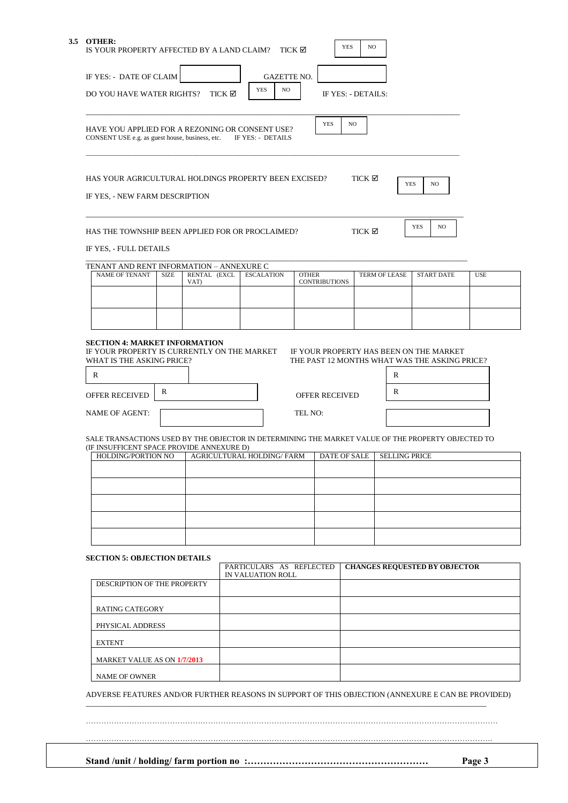|  | 3.5 OTHER:<br>IS YOUR PROPERTY AFFECTED BY A LAND CLAIM?                                           |             |                      |        |            |                                               | TICK ⊠       |                       | <b>YES</b> | NO.                |                      |                                      |            |
|--|----------------------------------------------------------------------------------------------------|-------------|----------------------|--------|------------|-----------------------------------------------|--------------|-----------------------|------------|--------------------|----------------------|--------------------------------------|------------|
|  | IF YES: - DATE OF CLAIM                                                                            |             |                      |        |            | <b>GAZETTE NO.</b>                            |              |                       |            |                    |                      |                                      |            |
|  | DO YOU HAVE WATER RIGHTS?                                                                          |             |                      | TICK ⊠ | <b>YES</b> | NO                                            |              |                       |            | IF YES: - DETAILS: |                      |                                      |            |
|  |                                                                                                    |             |                      |        |            |                                               |              |                       |            |                    |                      |                                      |            |
|  | HAVE YOU APPLIED FOR A REZONING OR CONSENT USE?<br>CONSENT USE e.g. as guest house, business, etc. |             |                      |        |            | IF YES: - DETAILS                             |              | <b>YES</b>            | NO         |                    |                      |                                      |            |
|  | HAS YOUR AGRICULTURAL HOLDINGS PROPERTY BEEN EXCISED?<br>IF YES, - NEW FARM DESCRIPTION            |             |                      |        |            |                                               |              |                       |            | TICK ⊠             | <b>YES</b>           | NO                                   |            |
|  | HAS THE TOWNSHIP BEEN APPLIED FOR OR PROCLAIMED?                                                   |             |                      |        |            |                                               |              |                       |            | TICK ⊠             |                      | YES<br>NO                            |            |
|  | IF YES, - FULL DETAILS                                                                             |             |                      |        |            |                                               |              |                       |            |                    |                      |                                      |            |
|  | TENANT AND RENT INFORMATION - ANNEXURE C<br><b>NAME OF TENANT</b>                                  | <b>SIZE</b> | RENTAL (EXCL<br>VAT) |        |            | <b>ESCALATION</b>                             | <b>OTHER</b> | <b>CONTRIBUTIONS</b>  |            |                    | TERM OF LEASE        | <b>START DATE</b>                    | <b>USE</b> |
|  |                                                                                                    |             |                      |        |            |                                               |              |                       |            |                    |                      |                                      |            |
|  |                                                                                                    |             |                      |        |            |                                               |              |                       |            |                    |                      |                                      |            |
|  |                                                                                                    |             |                      |        |            |                                               |              |                       |            |                    | R                    |                                      |            |
|  | OFFER RECEIVED                                                                                     | R           |                      |        |            |                                               |              | <b>OFFER RECEIVED</b> |            |                    | R                    |                                      |            |
|  | <b>NAME OF AGENT:</b>                                                                              |             |                      |        |            |                                               | TEL NO:      |                       |            |                    |                      |                                      |            |
|  | SALE TRANSACTIONS USED BY THE OBJECTOR IN DETERMINING THE MARKET VALUE OF THE PROPERTY OBJECTED TO |             |                      |        |            |                                               |              |                       |            |                    |                      |                                      |            |
|  | (IF INSUFFICENT SPACE PROVIDE ANNEXURE D)<br>HOLDING/PORTION NO                                    |             |                      |        |            | AGRICULTURAL HOLDING/ FARM                    |              | DATE OF SALE          |            |                    | <b>SELLING PRICE</b> |                                      |            |
|  |                                                                                                    |             |                      |        |            |                                               |              |                       |            |                    |                      |                                      |            |
|  |                                                                                                    |             |                      |        |            |                                               |              |                       |            |                    |                      |                                      |            |
|  |                                                                                                    |             |                      |        |            |                                               |              |                       |            |                    |                      |                                      |            |
|  |                                                                                                    |             |                      |        |            |                                               |              |                       |            |                    |                      |                                      |            |
|  | <b>SECTION 5: OBJECTION DETAILS</b>                                                                |             |                      |        |            |                                               |              |                       |            |                    |                      |                                      |            |
|  |                                                                                                    |             |                      |        |            | PARTICULARS AS REFLECTED<br>IN VALUATION ROLL |              |                       |            |                    |                      | <b>CHANGES REQUESTED BY OBJECTOR</b> |            |
|  | DESCRIPTION OF THE PROPERTY                                                                        |             |                      |        |            |                                               |              |                       |            |                    |                      |                                      |            |
|  | <b>RATING CATEGORY</b>                                                                             |             |                      |        |            |                                               |              |                       |            |                    |                      |                                      |            |
|  | PHYSICAL ADDRESS                                                                                   |             |                      |        |            |                                               |              |                       |            |                    |                      |                                      |            |
|  | <b>EXTENT</b>                                                                                      |             |                      |        |            |                                               |              |                       |            |                    |                      |                                      |            |
|  | MARKET VALUE AS ON 1/7/2013                                                                        |             |                      |        |            |                                               |              |                       |            |                    |                      |                                      |            |

…………………………………………………………………………………………………………………………………………….

………………………………………………………………………………………………………………………………………………

**Stand /unit / holding/ farm portion no :………………………………………………… Page 3**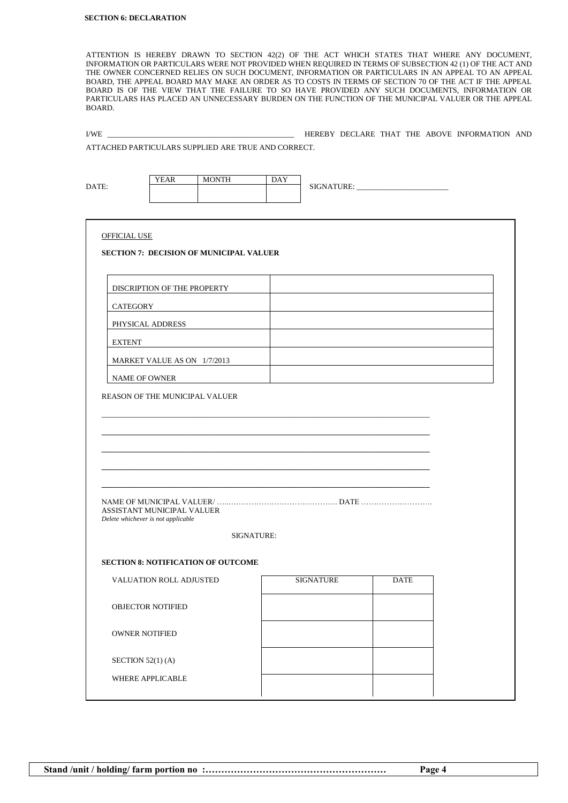ATTENTION IS HEREBY DRAWN TO SECTION 42(2) OF THE ACT WHICH STATES THAT WHERE ANY DOCUMENT, INFORMATION OR PARTICULARS WERE NOT PROVIDED WHEN REQUIRED IN TERMS OF SUBSECTION 42 (1) OF THE ACT AND THE OWNER CONCERNED RELIES ON SUCH DOCUMENT, INFORMATION OR PARTICULARS IN AN APPEAL TO AN APPEAL BOARD, THE APPEAL BOARD MAY MAKE AN ORDER AS TO COSTS IN TERMS OF SECTION 70 OF THE ACT IF THE APPEAL BOARD IS OF THE VIEW THAT THE FAILURE TO SO HAVE PROVIDED ANY SUCH DOCUMENTS, INFORMATION OR PARTICULARS HAS PLACED AN UNNECESSARY BURDEN ON THE FUNCTION OF THE MUNICIPAL VALUER OR THE APPEAL BOARD.

I/WE \_\_\_\_\_\_\_\_\_\_\_\_\_\_\_\_\_\_\_\_\_\_\_\_\_\_\_\_\_\_\_\_\_\_\_\_\_\_\_\_\_\_\_\_\_\_\_\_\_ HEREBY DECLARE THAT THE ABOVE INFORMATION AND

ATTACHED PARTICULARS SUPPLIED ARE TRUE AND CORRECT.

|                                                                  | <b>YEAR</b>                 | <b>MONTH</b>                                   | <b>DAY</b> |                  |             |  |
|------------------------------------------------------------------|-----------------------------|------------------------------------------------|------------|------------------|-------------|--|
| DATE:                                                            |                             |                                                |            |                  |             |  |
|                                                                  |                             |                                                |            |                  |             |  |
|                                                                  |                             |                                                |            |                  |             |  |
| <b>OFFICIAL USE</b>                                              |                             |                                                |            |                  |             |  |
|                                                                  |                             | <b>SECTION 7: DECISION OF MUNICIPAL VALUER</b> |            |                  |             |  |
|                                                                  | DISCRIPTION OF THE PROPERTY |                                                |            |                  |             |  |
| <b>CATEGORY</b>                                                  |                             |                                                |            |                  |             |  |
| PHYSICAL ADDRESS                                                 |                             |                                                |            |                  |             |  |
| <b>EXTENT</b>                                                    |                             |                                                |            |                  |             |  |
|                                                                  | MARKET VALUE AS ON 1/7/2013 |                                                |            |                  |             |  |
| <b>NAME OF OWNER</b>                                             |                             |                                                |            |                  |             |  |
| REASON OF THE MUNICIPAL VALUER                                   |                             |                                                |            |                  |             |  |
| ASSISTANT MUNICIPAL VALUER<br>Delete whichever is not applicable |                             |                                                |            |                  |             |  |
|                                                                  |                             | <b>SIGNATURE:</b>                              |            |                  |             |  |
|                                                                  |                             | <b>SECTION 8: NOTIFICATION OF OUTCOME</b>      |            |                  |             |  |
|                                                                  | VALUATION ROLL ADJUSTED     |                                                |            | <b>SIGNATURE</b> | <b>DATE</b> |  |
| <b>OBJECTOR NOTIFIED</b>                                         |                             |                                                |            |                  |             |  |
| <b>OWNER NOTIFIED</b>                                            |                             |                                                |            |                  |             |  |
| SECTION 52(1)(A)                                                 |                             |                                                |            |                  |             |  |
| WHERE APPLICABLE                                                 |                             |                                                |            |                  |             |  |
|                                                                  |                             |                                                |            |                  |             |  |

**Stand /unit / holding/ farm portion no :………………………………………………… Page 4**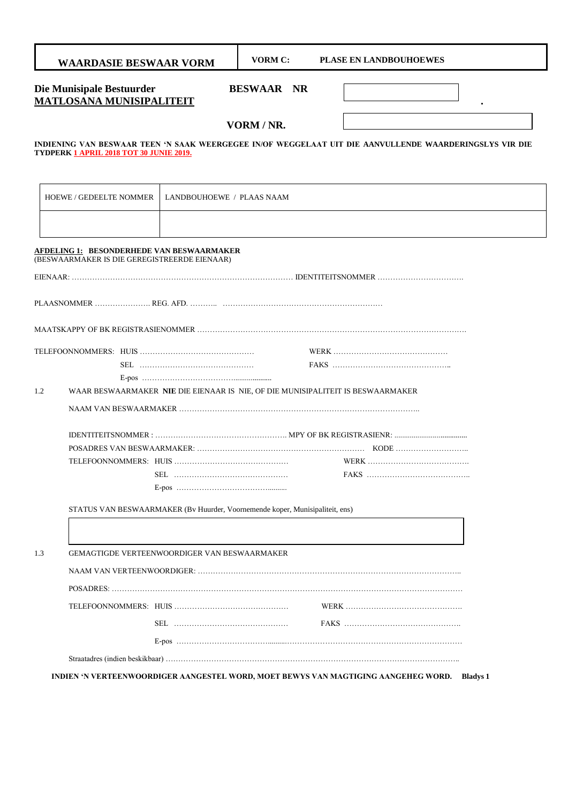|     | <b>WAARDASIE BESWAAR VORM</b>                                                |                           | <b>VORM C:</b>    | <b>PLASE EN LANDBOUHOEWES</b>                                                                           |
|-----|------------------------------------------------------------------------------|---------------------------|-------------------|---------------------------------------------------------------------------------------------------------|
|     | Die Munisipale Bestuurder<br><b>MATLOSANA MUNISIPALITEIT</b>                 |                           | <b>BESWAAR NR</b> |                                                                                                         |
|     |                                                                              |                           | VORM / NR.        |                                                                                                         |
|     | TYDPERK 1 APRIL 2018 TOT 30 JUNIE 2019.                                      |                           |                   | INDIENING VAN BESWAAR TEEN 'N SAAK WEERGEGEE IN/OF WEGGELAAT UIT DIE AANVULLENDE WAARDERINGSLYS VIR DIE |
|     |                                                                              |                           |                   |                                                                                                         |
|     | <b>HOEWE / GEDEELTE NOMMER</b>                                               | LANDBOUHOEWE / PLAAS NAAM |                   |                                                                                                         |
|     |                                                                              |                           |                   |                                                                                                         |
|     | <b>AFDELING 1: BESONDERHEDE VAN BESWAARMAKER</b>                             |                           |                   |                                                                                                         |
|     | (BESWAARMAKER IS DIE GEREGISTREERDE EIENAAR)                                 |                           |                   |                                                                                                         |
|     |                                                                              |                           |                   |                                                                                                         |
|     |                                                                              |                           |                   |                                                                                                         |
|     |                                                                              |                           |                   |                                                                                                         |
|     |                                                                              |                           |                   |                                                                                                         |
|     |                                                                              |                           |                   |                                                                                                         |
| 1.2 |                                                                              |                           |                   | WAAR BESWAARMAKER NIE DIE EIENAAR IS NIE, OF DIE MUNISIPALITEIT IS BESWAARMAKER                         |
|     |                                                                              |                           |                   |                                                                                                         |
|     |                                                                              |                           |                   |                                                                                                         |
|     |                                                                              |                           |                   |                                                                                                         |
|     |                                                                              |                           |                   |                                                                                                         |
|     |                                                                              |                           |                   |                                                                                                         |
|     |                                                                              |                           |                   |                                                                                                         |
|     | STATUS VAN BESWAARMAKER (Bv Huurder, Voornemende koper, Munisipaliteit, ens) |                           |                   |                                                                                                         |
|     |                                                                              |                           |                   |                                                                                                         |
| 1.3 | <b>GEMAGTIGDE VERTEENWOORDIGER VAN BESWAARMAKER</b>                          |                           |                   |                                                                                                         |
|     |                                                                              |                           |                   |                                                                                                         |
|     |                                                                              |                           |                   |                                                                                                         |
|     |                                                                              |                           |                   |                                                                                                         |
|     |                                                                              |                           |                   |                                                                                                         |
|     |                                                                              |                           |                   |                                                                                                         |
|     |                                                                              |                           |                   |                                                                                                         |
|     |                                                                              |                           |                   | INDIEN 'N VERTEENWOORDIGER AANGESTEL WORD, MOET BEWYS VAN MAGTIGING AANGEHEG WORD. Bladys 1             |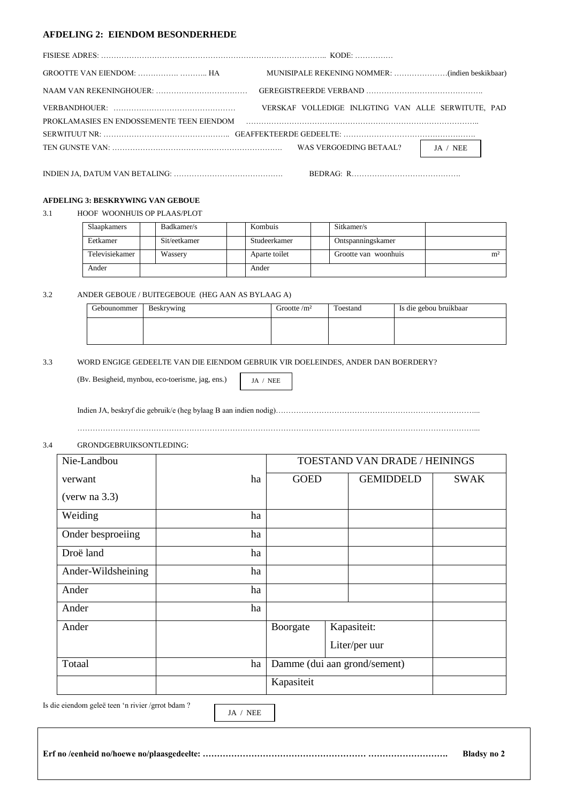### **AFDELING 2: EIENDOM BESONDERHEDE**

| VERSKAF VOLLEDIGE INLIGTING VAN ALLE SERWITUTE, PAD                                                            |
|----------------------------------------------------------------------------------------------------------------|
| PROKLAMASIES EN ENDOSSEMENTE TEEN EIENDOM FALLER EIENDOM EN EIGENOMENTE EIGEN EIGHT EIGHT EIGHT EIGHT EIGHT EI |
|                                                                                                                |
| $JA / NEE$                                                                                                     |
|                                                                                                                |

#### **AFDELING 3: BESKRYWING VAN GEBOUE**

3.1 HOOF WOONHUIS OP PLAAS/PLOT

| <b>Slaapkamers</b> | Badkamer/s   | Kombuis       | Sitkamer/s           |                |
|--------------------|--------------|---------------|----------------------|----------------|
| Eetkamer           | Sit/eetkamer | Studeerkamer  | Ontspanningskamer    |                |
| Televisiekamer     | Wassery      | Aparte toilet | Grootte van woonhuis | m <sup>2</sup> |
| Ander              |              | Ander         |                      |                |

3.2 ANDER GEBOUE / BUITEGEBOUE (HEG AAN AS BYLAAG A)

| Gebounommer | Beskrywing | Grootte $\rm /m^2$ | Toestand | Is die gebou bruikbaar |
|-------------|------------|--------------------|----------|------------------------|
|             |            |                    |          |                        |
|             |            |                    |          |                        |

3.3 WORD ENGIGE GEDEELTE VAN DIE EIENDOM GEBRUIK VIR DOELEINDES, ANDER DAN BOERDERY?

(Bv. Besigheid, mynbou, eco-toerisme, jag, ens.)

JA / NEE

Indien JA, beskryf die gebruik/e (heg bylaag B aan indien nodig)……………………………………………………………………...

…………………………………………………………………………………………………………………………………………...

# 3.4 GRONDGEBRUIKSONTLEDING:

| Nie-Landbou        |    |             | TOESTAND VAN DRADE / HEININGS |             |
|--------------------|----|-------------|-------------------------------|-------------|
| verwant            | ha | <b>GOED</b> | <b>GEMIDDELD</b>              | <b>SWAK</b> |
| (very na 3.3)      |    |             |                               |             |
| Weiding            | ha |             |                               |             |
| Onder besproeiing  | ha |             |                               |             |
| Droë land          | ha |             |                               |             |
| Ander-Wildsheining | ha |             |                               |             |
| Ander              | ha |             |                               |             |
| Ander              | ha |             |                               |             |
| Ander              |    | Boorgate    | Kapasiteit:                   |             |
|                    |    |             | Liter/per uur                 |             |
| Totaal             | ha |             | Damme (dui aan grond/sement)  |             |
|                    |    | Kapasiteit  |                               |             |

Is die eiendom geleë teen 'n rivier /grrot bdam ?

JA / NEE

**Erf no /eenheid no/hoewe no/plaasgedeelte: ………………………………………………… ………………………. Bladsy no 2**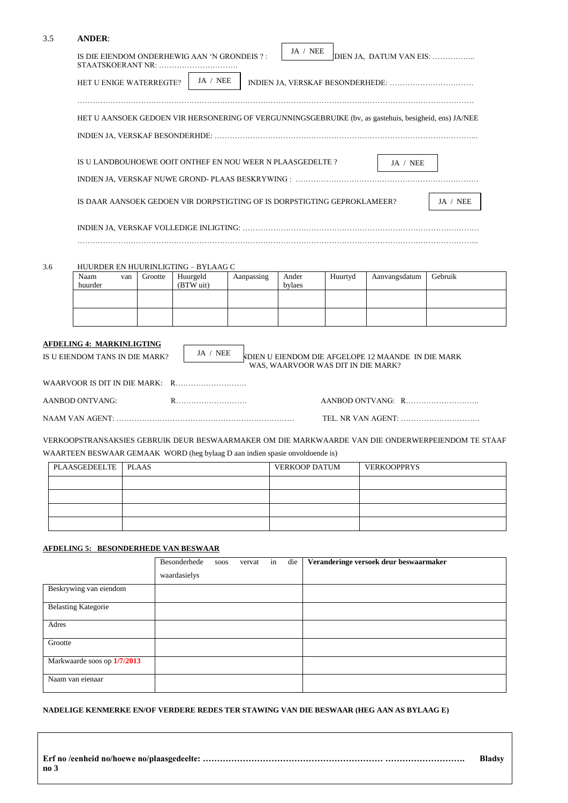| 3.5 | <b>ANDER:</b>                                                                |                                                                        |                       |            |                 |                                    |                                                                                                       |                                                                                                   |  |  |  |  |  |
|-----|------------------------------------------------------------------------------|------------------------------------------------------------------------|-----------------------|------------|-----------------|------------------------------------|-------------------------------------------------------------------------------------------------------|---------------------------------------------------------------------------------------------------|--|--|--|--|--|
|     | IS DIE EIENDOM ONDERHEWIG AAN 'N GRONDEIS ?:<br>STAATSKOERANT NR:            |                                                                        |                       |            | JA / NEE        |                                    | DIEN JA, DATUM VAN EIS:                                                                               |                                                                                                   |  |  |  |  |  |
|     | HET U ENIGE WATERREGTE?                                                      |                                                                        | JA / NEE              |            |                 |                                    |                                                                                                       |                                                                                                   |  |  |  |  |  |
|     |                                                                              |                                                                        |                       |            |                 |                                    | HET U AANSOEK GEDOEN VIR HERSONERING OF VERGUNNINGSGEBRUIKE (bv, as gastehuis, besigheid, ens) JA/NEE |                                                                                                   |  |  |  |  |  |
|     |                                                                              |                                                                        |                       |            |                 |                                    |                                                                                                       |                                                                                                   |  |  |  |  |  |
|     |                                                                              | IS U LANDBOUHOEWE OOIT ONTHEF EN NOU WEER N PLAASGEDELTE ?<br>JA / NEE |                       |            |                 |                                    |                                                                                                       |                                                                                                   |  |  |  |  |  |
|     |                                                                              |                                                                        |                       |            |                 |                                    |                                                                                                       |                                                                                                   |  |  |  |  |  |
|     | IS DAAR AANSOEK GEDOEN VIR DORPSTIGTING OF IS DORPSTIGTING GEPROKLAMEER?     |                                                                        |                       |            |                 |                                    |                                                                                                       | JA / NEE                                                                                          |  |  |  |  |  |
|     |                                                                              |                                                                        |                       |            |                 |                                    |                                                                                                       |                                                                                                   |  |  |  |  |  |
| 3.6 | HUURDER EN HUURINLIGTING - BYLAAG C                                          |                                                                        |                       |            |                 |                                    |                                                                                                       |                                                                                                   |  |  |  |  |  |
|     | Naam<br>van<br>huurder                                                       | Grootte                                                                | Huurgeld<br>(BTW uit) | Aanpassing | Ander<br>bylaes | Huurtyd                            | Aanvangsdatum                                                                                         | Gebruik                                                                                           |  |  |  |  |  |
|     |                                                                              |                                                                        |                       |            |                 |                                    |                                                                                                       |                                                                                                   |  |  |  |  |  |
|     |                                                                              |                                                                        |                       |            |                 |                                    |                                                                                                       |                                                                                                   |  |  |  |  |  |
|     | <b>AFDELING 4: MARKINLIGTING</b><br>IS U EIENDOM TANS IN DIE MARK?           |                                                                        | JA / NEE              |            |                 | WAS, WAARVOOR WAS DIT IN DIE MARK? | <b>NDIEN U EIENDOM DIE AFGELOPE 12 MAANDE IN DIE MARK</b>                                             |                                                                                                   |  |  |  |  |  |
|     |                                                                              |                                                                        |                       |            |                 |                                    |                                                                                                       |                                                                                                   |  |  |  |  |  |
|     | AANBOD ONTVANG:                                                              |                                                                        |                       |            |                 |                                    |                                                                                                       |                                                                                                   |  |  |  |  |  |
|     |                                                                              |                                                                        |                       |            |                 |                                    |                                                                                                       |                                                                                                   |  |  |  |  |  |
|     |                                                                              |                                                                        |                       |            |                 |                                    |                                                                                                       | VERKOOPSTRANSAKSIES GEBRUIK DEUR BESWAARMAKER OM DIE MARKWAARDE VAN DIE ONDERWERPEIENDOM TE STAAF |  |  |  |  |  |
|     | WAARTEEN BESWAAR GEMAAK WORD (heg bylaag D aan indien spasie onvoldoende is) |                                                                        |                       |            |                 |                                    |                                                                                                       |                                                                                                   |  |  |  |  |  |
|     | PLAASGEDEELTE                                                                | <b>PLAAS</b>                                                           |                       |            | VERKOOP DATUM   |                                    | <b>VERKOOPPRYS</b>                                                                                    |                                                                                                   |  |  |  |  |  |
|     |                                                                              |                                                                        |                       |            |                 |                                    |                                                                                                       |                                                                                                   |  |  |  |  |  |
|     |                                                                              |                                                                        |                       |            |                 |                                    |                                                                                                       |                                                                                                   |  |  |  |  |  |
|     |                                                                              |                                                                        |                       |            |                 |                                    |                                                                                                       |                                                                                                   |  |  |  |  |  |
|     |                                                                              |                                                                        |                       |            |                 |                                    |                                                                                                       |                                                                                                   |  |  |  |  |  |

# **AFDELING 5: BESONDERHEDE VAN BESWAAR**

|                             | Besonderhede<br>waardasielys | soos | vervat | in | die | Veranderinge versoek deur beswaarmaker |
|-----------------------------|------------------------------|------|--------|----|-----|----------------------------------------|
| Beskrywing van eiendom      |                              |      |        |    |     |                                        |
| <b>Belasting Kategorie</b>  |                              |      |        |    |     |                                        |
| Adres                       |                              |      |        |    |     |                                        |
| Grootte                     |                              |      |        |    |     |                                        |
| Markwaarde soos op 1/7/2013 |                              |      |        |    |     |                                        |
| Naam van eienaar            |                              |      |        |    |     |                                        |

**NADELIGE KENMERKE EN/OF VERDERE REDES TER STAWING VAN DIE BESWAAR (HEG AAN AS BYLAAG E)**

|                 | <b>Bladsy</b> |
|-----------------|---------------|
| no <sub>3</sub> |               |